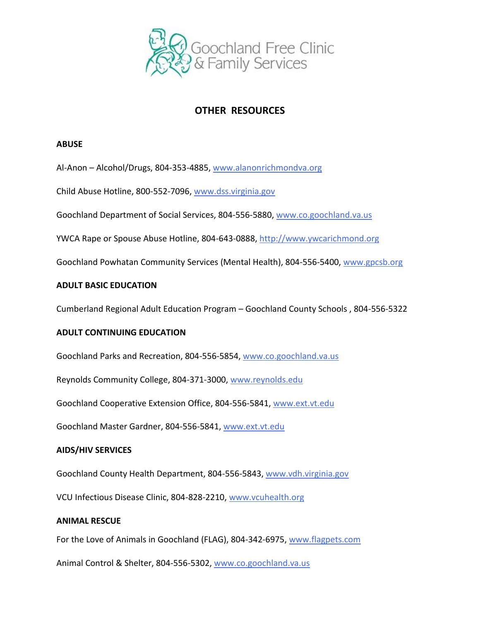

# **OTHER RESOURCES**

# **ABUSE**

Al-Anon – Alcohol/Drugs, 804-353-4885, [www.alanonrichmondva.org](http://www.alanonrichmondva.org/)

Child Abuse Hotline, 800-552-7096, [www.dss.virginia.gov](http://www.dss.virginia.gov/)

Goochland Department of Social Services, 804-556-5880, [www.co.goochland.va.us](http://www.co.goochland.va.us/)

YWCA Rape or Spouse Abuse Hotline, 804-643-0888, [http://www.ywcarichmond.org](http://www.ywcarichmond.org/)

Goochland Powhatan Community Services (Mental Health), 804-556-5400, [www.gpcsb.org](http://www.gpcsb.org/)

# **ADULT BASIC EDUCATION**

Cumberland Regional Adult Education Program – Goochland County Schools , 804-556-5322

# **ADULT CONTINUING EDUCATION**

Goochland Parks and Recreation, 804-556-5854, [www.co.goochland.va.us](http://www.co.goochland.va.us/)

Reynolds Community College, 804-371-3000, [www.reynolds.edu](http://www.jsr.vcc.edu/)

Goochland Cooperative Extension Office, 804-556-5841, [www.ext.vt.edu](http://www.ext.vt.edu/)

Goochland Master Gardner, 804-556-5841, [www.ext.vt.edu](http://www.ext.vt.edu/)

# **AIDS/HIV SERVICES**

Goochland County Health Department, 804-556-5843, [www.vdh.virginia.gov](http://www.vdh.virginia.gov/)

VCU Infectious Disease Clinic, 804-828-2210, [www.vcuhealth.org](http://www.vcuhealth.org/)

# **ANIMAL RESCUE**

For the Love of Animals in Goochland (FLAG), 804-342-6975, [www.flagpets.com](http://www.flagpets.com/)

Animal Control & Shelter, 804-556-5302, [www.co.goochland.va.us](http://www.co.goochland.va.us/)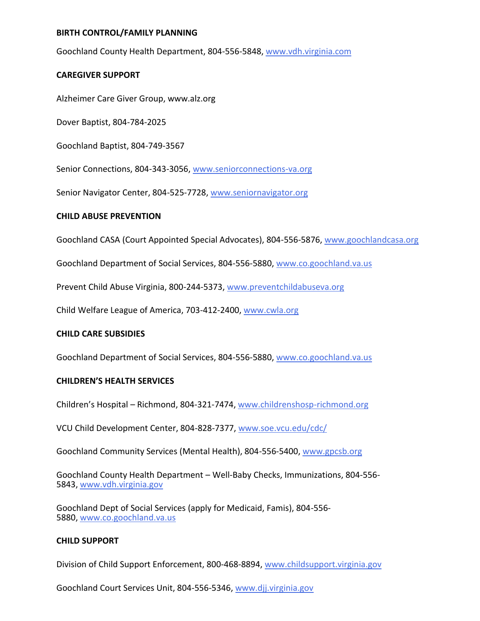# **BIRTH CONTROL/FAMILY PLANNING**

Goochland County Health Department, 804-556-5848, [www.vdh.virginia.com](http://www.vdh.virginia.com/)

# **CAREGIVER SUPPORT**

Alzheimer Care Giver Group, www.alz.org

Dover Baptist, 804-784-2025

Goochland Baptist, 804-749-3567

Senior Connections, 804-343-3056, [www.seniorconnections-va.org](http://www.seniorconnections-va.org/)

Senior Navigator Center, 804-525-7728, [www.seniornavigator.org](http://www.seniornavigator.org/)

# **CHILD ABUSE PREVENTION**

Goochland CASA (Court Appointed Special Advocates), 804-556-5876, [www.goochlandcasa.org](http://www.goochlandcasa.org/)

Goochland Department of Social Services, 804-556-5880, [www.co.goochland.va.us](http://www.co.goochland.va.us/)

Prevent Child Abuse Virginia, 800-244-5373, [www.preventchildabuseva.org](http://www.preventchildabuseva.org/)

Child Welfare League of America, 703-412-2400, [www.cwla.org](http://www.cwla.org/)

# **CHILD CARE SUBSIDIES**

Goochland Department of Social Services, 804-556-5880, [www.co.goochland.va.us](http://www.co.goochland.va.us/)

### **CHILDREN'S HEALTH SERVICES**

Children's Hospital – Richmond, 804-321-7474, [www.childrenshosp-richmond.org](http://www.childrenshosp-richmond.org/)

VCU Child Development Center, 804-828-7377, [www.soe.vcu.edu/cdc/](http://www.soe.vcu.edu/cdc/)

Goochland Community Services (Mental Health), 804-556-5400, [www.gpcsb.org](http://www.gpcsb.org/)

Goochland County Health Department – Well-Baby Checks, Immunizations, 804-556- 5843, [www.vdh.virginia.gov](http://www.vdh.virginia.gov/)

Goochland Dept of Social Services (apply for Medicaid, Famis), 804-556- 5880, [www.co.goochland.va.us](http://www.co.goochland.va.us/)

# **CHILD SUPPORT**

Division of Child Support Enforcement, 800-468-8894, [www.childsupport.virginia.gov](http://www.childsupport.virginia.gov/)

Goochland Court Services Unit, 804-556-5346, [www.djj.virginia.gov](http://www.djj.virginia.gov/)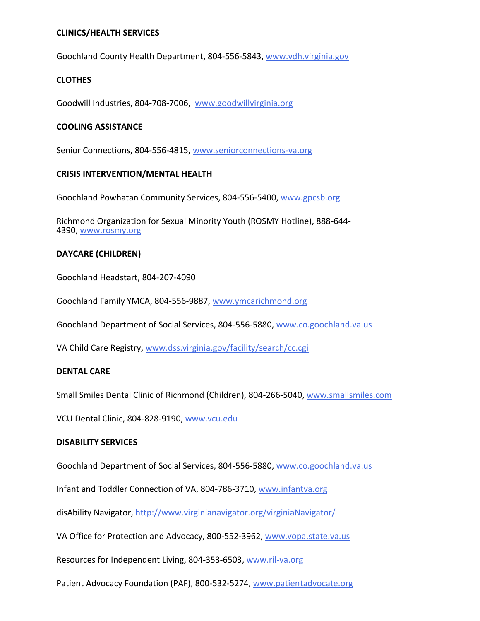# **CLINICS/HEALTH SERVICES**

Goochland County Health Department, 804-556-5843, [www.vdh.virginia.gov](http://www.vdh.virginia.gov/)

# **CLOTHES**

Goodwill Industries, 804-708-7006, [www.goodwillvirginia.org](http://www.goodwillvirginia.org/)

# **COOLING ASSISTANCE**

Senior Connections, 804-556-4815, [www.seniorconnections-va.org](http://www.seniorconnections-va.org/)

# **CRISIS INTERVENTION/MENTAL HEALTH**

Goochland Powhatan Community Services, 804-556-5400, [www.gpcsb.org](http://www.gpcsb.org/)

Richmond Organization for Sexual Minority Youth (ROSMY Hotline), 888-644- 4390, [www.rosmy.org](http://www.rosmy.org/)

# **DAYCARE (CHILDREN)**

Goochland Headstart, 804-207-4090

Goochland Family YMCA, 804-556-9887, [www.ymcarichmond.org](http://www.ymcarichmond.org/)

Goochland Department of Social Services, 804-556-5880, [www.co.goochland.va.us](http://www.co.goochland.va.us/)

VA Child Care Registry, [www.dss.virginia.gov/facility/search/cc.cgi](http://www.dss.virginia.gov/facility/search/cc.cgi)

### **DENTAL CARE**

Small Smiles Dental Clinic of Richmond (Children), 804-266-5040, [www.smallsmiles.com](http://www.smallsmiles.com/)

VCU Dental Clinic, 804-828-9190, [www.vcu.edu](http://www.vuc.edu/)

### **DISABILITY SERVICES**

Goochland Department of Social Services, 804-556-5880, [www.co.goochland.va.us](http://www.co.goochland.va.us/)

Infant and Toddler Connection of VA, 804-786-3710, [www.infantva.org](http://www.infantva.org/)

disAbility Navigator[, http://www.virginianavigator.org/virginiaNavigator/](http://www.virginianavigator.org/virginiaNavigator/)

VA Office for Protection and Advocacy, 800-552-3962, [www.vopa.state.va.us](http://www.vopa.state.va.us/)

Resources for Independent Living, 804-353-6503, [www.ril-va.org](http://www.ril-va.org/)

Patient Advocacy Foundation (PAF), 800-532-5274, [www.patientadvocate.org](http://www.patientadvocate.org/)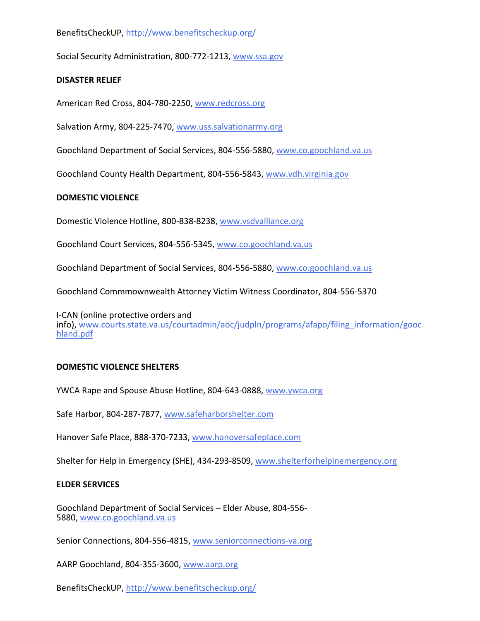BenefitsCheckUP, <http://www.benefitscheckup.org/>

Social Security Administration, 800-772-1213, [www.ssa.gov](http://www.ssa.gov/)

# **DISASTER RELIEF**

American Red Cross, 804-780-2250, [www.redcross.org](http://www.redcross.org/)

Salvation Army, 804-225-7470, [www.uss.salvationarmy.org](http://www.uss.salvationarmy.org/)

Goochland Department of Social Services, 804-556-5880, [www.co.goochland.va.us](http://www.co.goochland.va.us/)

Goochland County Health Department, 804-556-5843, [www.vdh.virginia.gov](http://www.vdh.virginia.gov/)

# **DOMESTIC VIOLENCE**

Domestic Violence Hotline, 800-838-8238, [www.vsdvalliance.org](http://www.vadvalliance.org/)

Goochland Court Services, 804-556-5345, [www.co.goochland.va.us](http://www.co.goochland.va.us/)

Goochland Department of Social Services, 804-556-5880, [www.co.goochland.va.us](http://www.co.goochland.va.us/)

Goochland Commmownwealth Attorney Victim Witness Coordinator, 804-556-5370

I-CAN (online protective orders and info), [www.courts.state.va.us/courtadmin/aoc/judpln/programs/afapo/filing\\_information/gooc](http://www.courts.state.va.us/courtadmin/aoc/judpln/programs/afapo/filing_information/goochland.pdf) [hland.pdf](http://www.courts.state.va.us/courtadmin/aoc/judpln/programs/afapo/filing_information/goochland.pdf)

# **DOMESTIC VIOLENCE SHELTERS**

YWCA Rape and Spouse Abuse Hotline, 804-643-0888, [www.ywca.org](http://www.ywca.org/)

Safe Harbor, 804-287-7877, [www.safeharborshelter.com](http://www.safeharborshelter.com/)

Hanover Safe Place, 888-370-7233, [www.hanoversafeplace.com](http://www.hanoversafeplace.com/)

Shelter for Help in Emergency (SHE), 434-293-8509, [www.shelterforhelpinemergency.org](http://www.shelterforhelpinemergency.org/)

### **ELDER SERVICES**

Goochland Department of Social Services – Elder Abuse, 804-556- 5880, [www.co.goochland.va.us](http://www.co.goochland.va.us/)

Senior Connections, 804-556-4815, [www.seniorconnections-va.org](http://www.seniorconnections-va.org/)

AARP Goochland, 804-355-3600, [www.aarp.org](http://www.aarp.org/)

BenefitsCheckUP, <http://www.benefitscheckup.org/>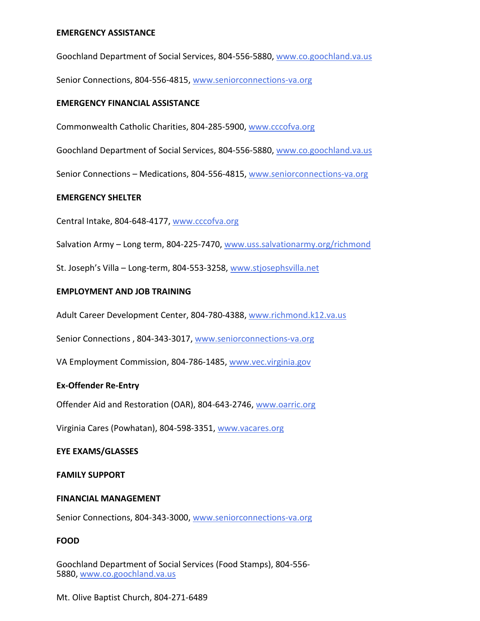# **EMERGENCY ASSISTANCE**

Goochland Department of Social Services, 804-556-5880, [www.co.goochland.va.us](http://www.co.goochland.va.us/)

Senior Connections, 804-556-4815, [www.seniorconnections-va.org](http://www.seniorconnections-va.org/)

# **EMERGENCY FINANCIAL ASSISTANCE**

Commonwealth Catholic Charities, 804-285-5900, [www.cccofva.org](http://www.cccofva.org/)

Goochland Department of Social Services, 804-556-5880, [www.co.goochland.va.us](http://www.co.goochland.va.us/)

Senior Connections – Medications, 804-556-4815, [www.seniorconnections-va.org](http://www.seniorconnections-va.org/)

### **EMERGENCY SHELTER**

Central Intake, 804-648-4177, [www.cccofva.org](http://www.cccofva.org/)

Salvation Army – Long term, 804-225-7470, [www.uss.salvationarmy.org/richmond](http://www.salvationarmyrichmond.org/)

St. Joseph's Villa – Long-term, 804-553-3258, [www.stjosephsvilla.net](http://www.stjosephsvilla.net/)

#### **EMPLOYMENT AND JOB TRAINING**

Adult Career Development Center, 804-780-4388, [www.richmond.k12.va.us](http://www.richmond.k12.va.us/)

Senior Connections, 804-343-3017, [www.seniorconnections-va.org](http://www.seniorconnections-va.org/)

VA Employment Commission, 804-786-1485, [www.vec.virginia.gov](http://www.vec.virginia.gov/)

### **Ex-Offender Re-Entry**

Offender Aid and Restoration (OAR), 804-643-2746, [www.oarric.org](http://www.oarric.org/)

Virginia Cares (Powhatan), 804-598-3351, [www.vacares.org](http://www.vacares.org/)

#### **EYE EXAMS/GLASSES**

#### **FAMILY SUPPORT**

### **FINANCIAL MANAGEMENT**

Senior Connections, 804-343-3000, [www.seniorconnections-va.org](http://www.seniorconnections-va.org/)

### **FOOD**

Goochland Department of Social Services (Food Stamps), 804-556- 5880, [www.co.goochland.va.us](http://www.co.goochland.va.us/)

Mt. Olive Baptist Church, 804-271-6489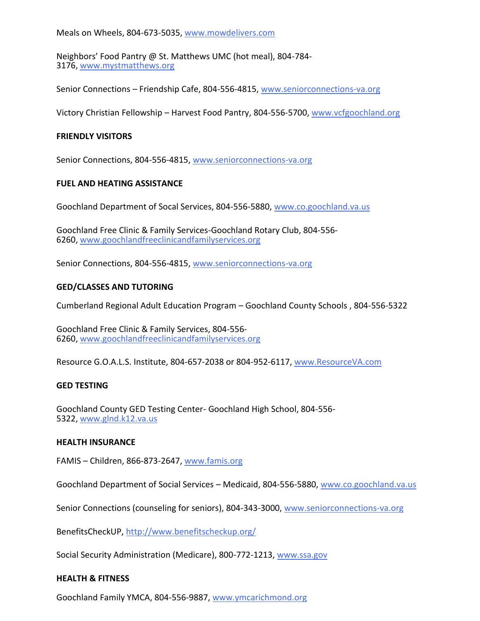Meals on Wheels, 804-673-5035, [www.mowdelivers.com](http://www.mowdelivers.com/)

Neighbors' Food Pantry @ St. Matthews UMC (hot meal), 804-784- 3176, [www.mystmatthews.org](http://www.mystmatthews.org/)

Senior Connections – Friendship Cafe, 804-556-4815, [www.seniorconnections-va.org](http://www.seniorconnections-va.org/)

Victory Christian Fellowship – Harvest Food Pantry, 804-556-5700, [www.vcfgoochland.org](http://www.vcfgoochland.org/)

#### **FRIENDLY VISITORS**

Senior Connections, 804-556-4815, [www.seniorconnections-va.org](http://www.seniorconnections-va.orgged/)

### **FUEL AND HEATING ASSISTANCE**

Goochland Department of Socal Services, 804-556-5880, [www.co.goochland.va.us](http://www.co.goochland.va.us/)

Goochland Free Clinic & Family Services-Goochland Rotary Club, 804-556- 6260, [www.goochlandfreeclinicandfamilyservices.org](http://www.goochlandfreeclinicandfamilyservices.org/)

Senior Connections, 804-556-4815, [www.seniorconnections-va.org](http://www.seniorconnections-va.org/)

### **GED/CLASSES AND TUTORING**

Cumberland Regional Adult Education Program – Goochland County Schools , 804-556-5322

Goochland Free Clinic & Family Services, 804-556- 6260, [www.goochlandfreeclinicandfamilyservices.org](http://www.goochlandfreeclinicandfamilyservices.org/)

Resource G.O.A.L.S. Institute, 804-657-2038 or 804-952-6117, [www.ResourceVA.com](http://www.resourceva.com/)

#### **GED TESTING**

Goochland County GED Testing Center- Goochland High School, 804-556- 5322, [www.glnd.k12.va.us](http://www.glnd.k12.va.us/)

#### **HEALTH INSURANCE**

FAMIS – Children, 866-873-2647, [www.famis.org](http://www.famis.org/)

Goochland Department of Social Services – Medicaid, 804-556-5880, [www.co.goochland.va.us](http://www.co.goochland.va.us/)

Senior Connections (counseling for seniors), 804-343-3000, [www.seniorconnections-va.org](http://www.seniorconnections-va.org/)

BenefitsCheckUP, <http://www.benefitscheckup.org/>

Social Security Administration (Medicare), 800-772-1213, [www.ssa.gov](http://www.ssa.gov/)

#### **HEALTH & FITNESS**

Goochland Family YMCA, 804-556-9887, [www.ymcarichmond.org](http://www.ymcarichmond.org/)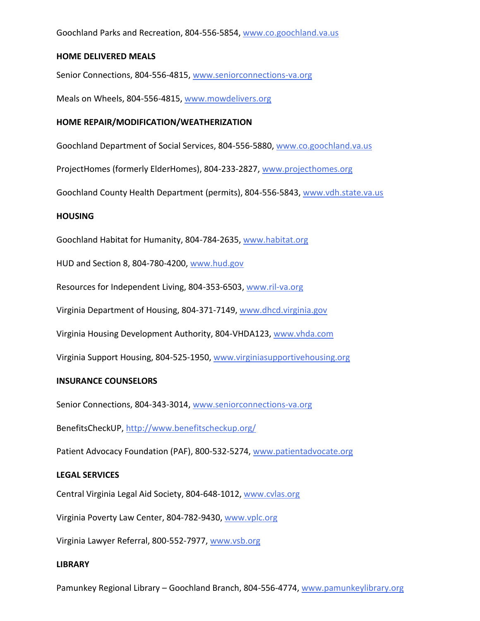Goochland Parks and Recreation, 804-556-5854, [www.co.goochland.va.us](http://www.co.goochland.va.us/)

### **HOME DELIVERED MEALS**

Senior Connections, 804-556-4815, [www.seniorconnections-va.org](http://www.seniorconnections-va.org/)

Meals on Wheels, 804-556-4815, [www.mowdelivers.org](http://www.mowdelivers.org/)

# **HOME REPAIR/MODIFICATION/WEATHERIZATION**

Goochland Department of Social Services, 804-556-5880, [www.co.goochland.va.us](http://www.co.goochland.va.uselderhomes/)

ProjectHomes (formerly ElderHomes), 804-233-2827, [www.projecthomes.org](http://www.elderhomes.org/)

Goochland County Health Department (permits), 804-556-5843, [www.vdh.state.va.us](http://www.vdh.state.va.us/)

# **HOUSING**

Goochland Habitat for Humanity, 804-784-2635, [www.habitat.org](http://www.habitat.org/)

HUD and Section 8, 804-780-4200, [www.hud.gov](http://www.hud.gov/)

Resources for Independent Living, 804-353-6503, [www.ril-va.org](http://www.ril-va.org/)

Virginia Department of Housing, 804-371-7149, [www.dhcd.virginia.gov](http://www.dhcd.virginia.gov/)

Virginia Housing Development Authority, 804-VHDA123, [www.vhda.com](http://www.vhda.com/)

Virginia Support Housing, 804-525-1950, [www.virginiasupportivehousing.org](http://www.virginiasupportivehousing.org/)

### **INSURANCE COUNSELORS**

Senior Connections, 804-343-3014, [www.seniorconnections-va.org](http://www.seniorconnections-va.org/)

BenefitsCheckUP, <http://www.benefitscheckup.org/>

Patient Advocacy Foundation (PAF), 800-532-5274, [www.patientadvocate.org](http://www.patientadvocate.org/)

### **LEGAL SERVICES**

Central Virginia Legal Aid Society, 804-648-1012, [www.cvlas.org](http://www.cvlas.org/)

Virginia Poverty Law Center, 804-782-9430, [www.vplc.org](http://www.vplc.org/)

Virginia Lawyer Referral, 800-552-7977, [www.vsb.org](http://www.vsb.org/)

### **LIBRARY**

Pamunkey Regional Library – Goochland Branch, 804-556-4774, [www.pamunkeylibrary.org](http://www.pamunkeylibrary.org/)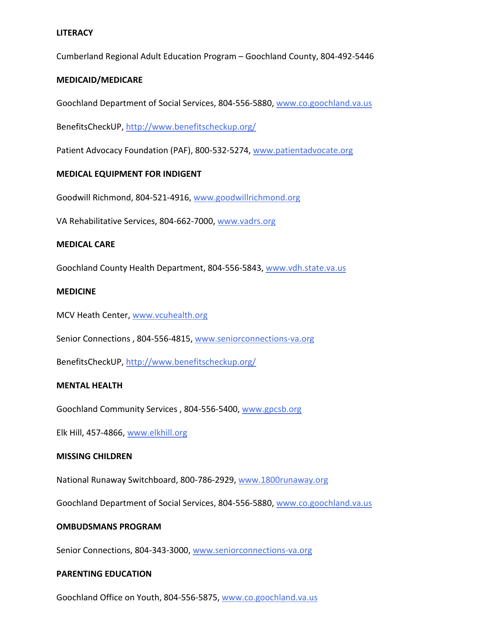# **LITERACY**

Cumberland Regional Adult Education Program – Goochland County, 804-492-5446

# **MEDICAID/MEDICARE**

Goochland Department of Social Services, 804-556-5880, [www.co.goochland.va.us](http://www.co.goochland.va.us/)

BenefitsCheckUP, <http://www.benefitscheckup.org/>

Patient Advocacy Foundation (PAF), 800-532-5274, [www.patientadvocate.org](http://www.patientadvocate.org/)

# **MEDICAL EQUIPMENT FOR INDIGENT**

Goodwill Richmond, 804-521-4916, [www.goodwillrichmond.org](http://www.goodwillrichmond.org/)

VA Rehabilitative Services, 804-662-7000, [www.vadrs.org](http://www.vadrs.org/)

### **MEDICAL CARE**

Goochland County Health Department, 804-556-5843, [www.vdh.state.va.us](http://www.vdh.state.va.us/)

# **MEDICINE**

MCV Heath Center, [www.vcuhealth.org](http://www.vcuhealth.org/)

Senior Connections, 804-556-4815, [www.seniorconnections-va.org](http://www.seniorconnections-va.org/)

BenefitsCheckUP, <http://www.benefitscheckup.org/>

### **MENTAL HEALTH**

Goochland Community Services , 804-556-5400, [www.gpcsb.org](http://www.gpcsb.orggoochland/)

Elk Hill, 457-4866, [www.elkhill.org](http://www.elkhill.org/)

### **MISSING CHILDREN**

National Runaway Switchboard, 800-786-2929, [www.1800runaway.org](http://www.1800runaway.org/)

Goochland Department of Social Services, 804-556-5880, [www.co.goochland.va.us](http://www.co.goochland.va.us/)

### **OMBUDSMANS PROGRAM**

Senior Connections, 804-343-3000, [www.seniorconnections-va.org](http://www.seniorconnections-va.org/)

### **PARENTING EDUCATION**

Goochland Office on Youth, 804-556-5875, [www.co.goochland.va.us](http://www.co.goochland.va.us/)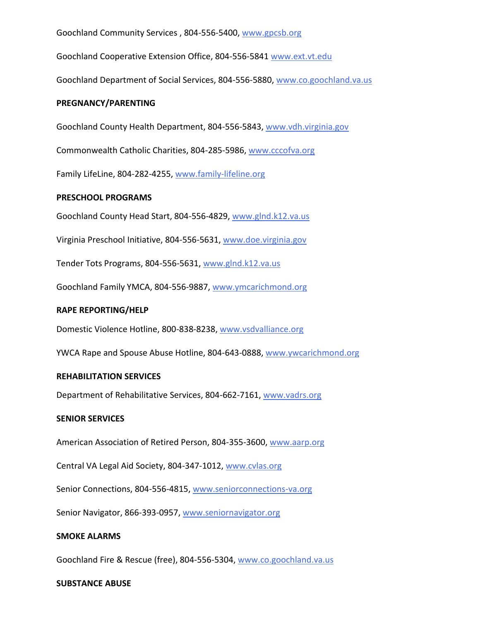Goochland Community Services , 804-556-5400, [www.gpcsb.org](http://www.gpcsb.orggoochland/)

Goochland Cooperative Extension Office, 804-556-5841 [www.ext.vt.edu](http://www.ext.vt.edugoochland/)

Goochland Department of Social Services, 804-556-5880, [www.co.goochland.va.us](http://www.co.goochland.va.us/)

### **PREGNANCY/PARENTING**

Goochland County Health Department, 804-556-5843, [www.vdh.virginia.gov](http://www.vdh.virginia.govcommonwealth/)

Commonwealth Catholic Charities, 804-285-5986, [www.cccofva.org](http://www.cccofva.org/)

Family LifeLine, 804-282-4255, [www.family-lifeline.org](http://www.family-lifeline.org/)

### **PRESCHOOL PROGRAMS**

Goochland County Head Start, 804-556-4829, [www.glnd.k12.va.us](http://www.glnd.k12.va.us/)

Virginia Preschool Initiative, 804-556-5631, [www.doe.virginia.gov](http://www.doe.virginia.gov/)

Tender Tots Programs, 804-556-5631, [www.glnd.k12.va.us](http://www.glnd.k12.va.us/)

Goochland Family YMCA, 804-556-9887, [www.ymcarichmond.org](http://www.ymcarichmond.org/)

# **RAPE REPORTING/HELP**

Domestic Violence Hotline, 800-838-8238, [www.vsdvalliance.org](http://www.vsdvalliance.org/)

YWCA Rape and Spouse Abuse Hotline, 804-643-0888, [www.ywcarichmond.org](http://www.ywca.org/)

# **REHABILITATION SERVICES**

Department of Rehabilitative Services, 804-662-7161, [www.vadrs.org](http://www.vadrs.org/)

### **SENIOR SERVICES**

American Association of Retired Person, 804-355-3600, [www.aarp.org](http://www.aarp.org/)

Central VA Legal Aid Society, 804-347-1012, [www.cvlas.org](http://www.cvlas.orgsenior/)

Senior Connections, 804-556-4815, [www.seniorconnections-va.org](http://www.seniorconnections-va.org/)

Senior Navigator, 866-393-0957, [www.seniornavigator.org](http://www.seniornavigator.org/)

# **SMOKE ALARMS**

Goochland Fire & Rescue (free), 804-556-5304, [www.co.goochland.va.us](http://www.co.goochland.va.us/)

### **SUBSTANCE ABUSE**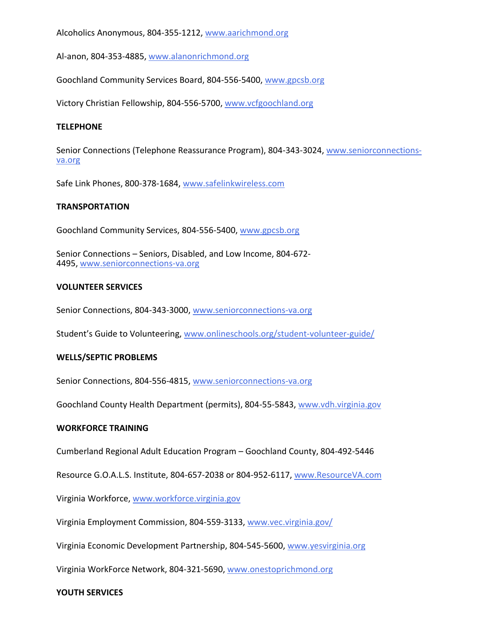Alcoholics Anonymous, 804-355-1212[, www.aarichmond.org](http://www.aarichmond.org/)

Al-anon, 804-353-4885[, www.alanonrichmond.org](http://www.alanonrichmond.org/)

Goochland Community Services Board, 804-556-5400, [www.gpcsb.org](http://www.gpcsb.org/)

Victory Christian Fellowship, 804-556-5700[, www.vcfgoochland.org](http://www.vcfgoochland.org/)

# **TELEPHONE**

Senior Connections (Telephone Reassurance Program), 804-343-3024, [www.seniorconnections](http://www.seniorconnections-va.orgsafe/)[va.org](http://www.seniorconnections-va.orgsafe/)

Safe Link Phones, 800-378-1684, [www.safelinkwireless.com](http://www.safelinkwireless.com/)

# **TRANSPORTATION**

Goochland Community Services, 804-556-5400, [www.gpcsb.org](http://www.gpcsb.org/)

Senior Connections – Seniors, Disabled, and Low Income, 804-672- 4495, [www.seniorconnections-va.org](http://www.seniorconnections-va.orgvolunteer/)

# **VOLUNTEER SERVICES**

Senior Connections, 804-343-3000, [www.seniorconnections-va.org](http://www.seniorconnections-va.orggoochland/)

Student's Guide to Volunteering, [www.onlineschools.org/student-volunteer-guide/](http://www.onlineschools.org/student-volunteer-guide/)

# **WELLS/SEPTIC PROBLEMS**

Senior Connections, 804-556-4815, [www.seniorconnections-va.org](http://www.seniorconnections-va.orggoochland/)

Goochland County Health Department (permits), 804-55-5843, [www.vdh.virginia.gov](http://www.vdh.virginia.gov/)

### **WORKFORCE TRAINING**

Cumberland Regional Adult Education Program – Goochland County, 804-492-5446

Resource G.O.A.L.S. Institute, 804-657-2038 or 804-952-6117, [www.ResourceVA.com](http://www.resourceva.com/)

Virginia Workforce, [www.workforce.virginia.gov](http://www.workforce.virginia.gov/)

Virginia Employment Commission, 804-559-3133, [www.vec.virginia.gov/](http://www.vec.virginia.gov/)

Virginia Economic Development Partnership, 804-545-5600, [www.yesvirginia.org](http://www.yesvirginia.org/)

Virginia WorkForce Network, 804-321-5690, [www.onestoprichmond.org](http://www.onestoprichmond.org/)

### **YOUTH SERVICES**